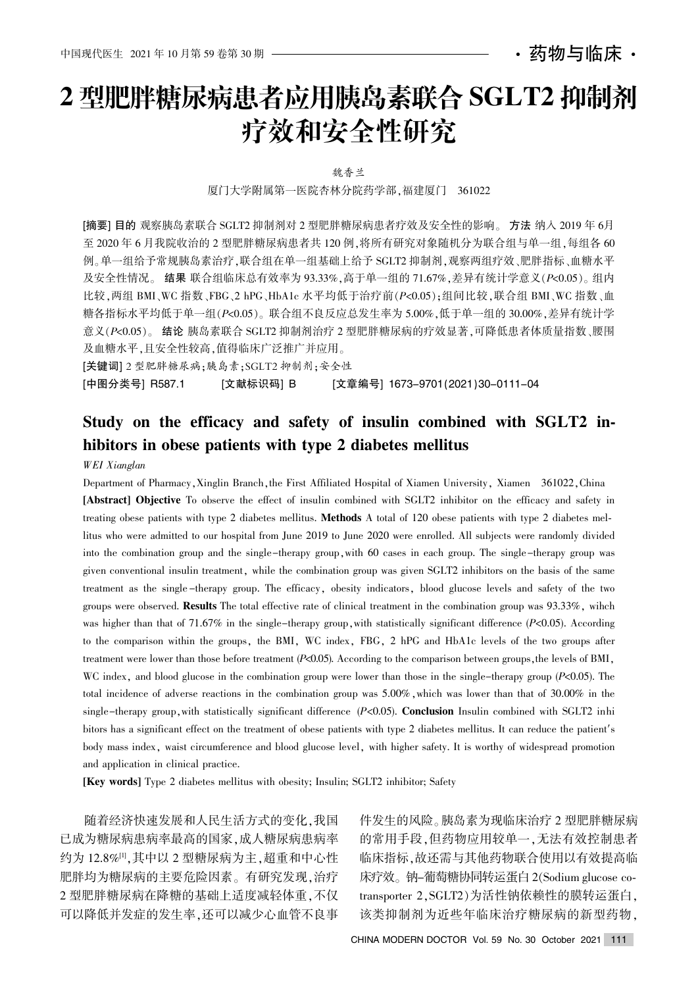・药物与临床 ・

# 2 型肥胖糖尿病患者应用胰岛素联合 SGLT2 抑制剂 疗效和安全性研究

魏香兰

厦门大学附属第一医院杏林分院药学部,福建厦门 361022

[摘要] 目的 观察胰岛素联合 SGLT2 抑制剂对 2 型肥胖糖尿病患者疗效及安全性的影响。 方法 纳入 2019 年 6月 至 2020 年 6 月我院收治的 2 型肥胖糖尿病患者共 120 例, 将所有研究对象随机分为联合组与单一组, 每组各 60 例。单一组给予常规胰岛素治疗,联合组在单一组基础上给予 SGLT2 抑制剂,观察两组疗效、肥胖指标、血糖水平 及安全性情况。结果联合组临床总有效率为 93.33%. 高于单一组的 71.67%, 差异有统计学意义(P<0.05)。组内 比较,两组 BMI、WC 指数、FBG、2 hPG、HbA1c 水平均低于治疗前(P<0.05);组间比较,联合组 BMI、WC 指数、血 糖各指标水平均低于单一组(P<0.05)。联合组不良反应总发生率为 5.00%,低于单一组的 30.00%,差异有统计学 意义 $(P<sub>0.05</sub>)$ 。结论胰岛素联合 SGLT2 抑制剂治疗 2 型肥胖糖尿病的疗效显著,可降低患者体质量指数、腰围 及血糖水平,且安全性较高,值得临床广泛推广并应用。

[关键词] 2 型肥胖糖尿病:胰岛素:SGLT2 抑制剂:安全性

[中图分类号] R587.1 [文献标识码] B [文章编号] 1673-9701(2021)30-0111-04

## Study on the efficacy and safety of insulin combined with SGLT2 inhibitors in obese patients with type 2 diabetes mellitus

WEI Xianglan

Department of Pharmacy, Xinglin Branch, the First Affiliated Hospital of Xiamen University, Xiamen 361022, China [Abstract] Objective To observe the effect of insulin combined with SGLT2 inhibitor on the efficacy and safety in treating obese patients with type 2 diabetes mellitus. Methods A total of 120 obese patients with type 2 diabetes mellitus who were admitted to our hospital from June 2019 to June 2020 were enrolled. All subjects were randomly divided into the combination group and the single-therapy group, with 60 cases in each group. The single-therapy group was given conventional insulin treatment, while the combination group was given SGLT2 inhibitors on the basis of the same treatment as the single-therapy group. The efficacy, obesity indicators, blood glucose levels and safety of the two groups were observed. Results The total effective rate of clinical treatment in the combination group was 93.33%, wihch was higher than that of 71.67% in the single-therapy group, with statistically significant difference  $(P<0.05)$ . According to the comparison within the groups, the BMI, WC index, FBG, 2 hPG and HbA1c levels of the two groups after treatment were lower than those before treatment  $(P<0.05)$ . According to the comparison between groups, the levels of BMI, WC index, and blood glucose in the combination group were lower than those in the single-therapy group ( $P<0.05$ ). The total incidence of adverse reactions in the combination group was  $5.00\%$ , which was lower than that of  $30.00\%$  in the single-therapy group, with statistically significant difference  $(P<0.05)$ . Conclusion Insulin combined with SGLT2 inhi bitors has a significant effect on the treatment of obese patients with type 2 diabetes mellitus. It can reduce the patient's body mass index, waist circumference and blood glucose level, with higher safety. It is worthy of widespread promotion and application in clinical practice.

[Key words] Type 2 diabetes mellitus with obesity; Insulin; SGLT2 inhibitor; Safety

随着经济快速发展和人民生活方式的变化,我国 已成为糖尿病患病率最高率最高的国家,成人糖尿病患病率 约为 12.8%[1], 其中以 2 型糖尿病为主, 超重和中心性 肥胖均为糖尿病的主要危险因素。有研究发现,治疗 2 型肥胖糖尿病在降糖的基础上适度减轻体重,不仅 可以降低并发症的发生率,还可以减少心血管不良事 件发生的风险遥胰岛素为现临床治疗 2 型肥胖糖尿病 的常用手段,但药物应用较单一,无法有效控制患者 临床指标.故还需与其他药物联合使用以有效提高临 床疗效。钠-葡萄糖协同转运蛋白 2(Sodium glucose cotransporter 2, SGLT2)为活性钠依赖性的膜转运蛋白, 该类抑制剂为近些年临床治疗糖尿病的新型药物,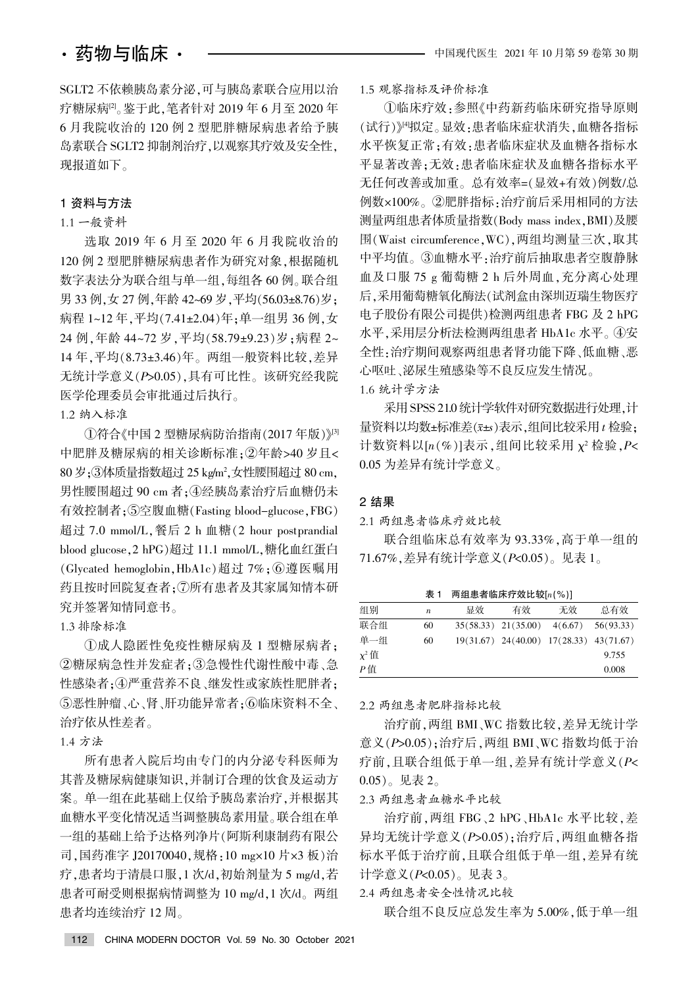SGLT2 不依赖胰岛素分泌,可与胰岛素联合应用以治 疗糖尿病<sup>[2]</sup>。鉴于此,笔者针对 2019 年 6 月至 2020 年 6 月我院收治的 120 例 2 型肥胖糖尿病患者给予胰 岛素联合 SGLT2 抑制剂治疗,以观察其疗效及安全性, 现报道如下。

### 1 资料与方法

### 1.1 一般资料

选取 2019 年 6 月至 2020 年 6 月我院收治的 120 例 2 型肥胖糖尿病患者作为研究对象,根据随机 数字表法分为联合组与单一组,每组各60例。联合组 男 33 例,女 27 例,年龄 42~69 岁,平均(56.03±8.76)岁; 病程 1~12 年, 平均(7.41±2.04)年; 单一组男 36 例, 女 24 例,年龄 44~72 岁,平均(58.79±9.23)岁;病程 2~ 14年, 平均(8.73±3.46)年。两组一般资料比较, 差异 无统计学意义(P>0.05),具有可比性。该研究经我院 医学伦理委员会审批通过后执行。

1.2 纳入标准

 $(1)$ 符合《中国 2 型糖尿病防治指南 $(2017 \n 4F)$   $\mathbb{R}^3$ 中肥胖及糖尿病的相关诊断标准;②年龄>40 岁且<  $80\,\mathcal{G}$ ;③体质量指数超过 25 kg/m²,女性腰围超过 80 cm, 男性腰围超过 90 cm 者; 4)经胰岛素治疗后血糖仍未 有效控制者;⑤空腹血糖(Fasting blood-glucose,FBG) 超过 7.0 mmol/L, 餐后 2 h 血糖(2 hour postprandial blood glucose, 2 hPG)超过 11.1 mmol/L, 糖化血红蛋白 (Glycated hemoglobin, HbA1c)超过 7%; ⑥遵医嘱用 药且按时回院复查者: ⑦所有患者及其家属知情本研 究并签署知情同意书。

1.3 排除标准

①成人隐匿性免疫性糖尿病及 1 型糖尿病者: ②糖尿病急性并发症者;③急慢性代谢性酸中毒、急 性感染者;4严重营养不良、继发性或家族性肥胖者; ⑤恶性肿瘤、心、肾、肝功能异常者:6临床资料不全、 治疗依从性差者。

1.4 方法

所有患者入院后均由专门的内分泌专科医师为 其普及糖尿病健康知识,并制订合理的饮食及运动方 案。单一组在此基础上仅给予胰岛素治疗,并根据其 血糖水平变化情况适当调整胰岛素用量。联合组在单 一组的基础上给予达格列净片(阿斯利康制药有限公 司,国药准字 J20170040,规格:10 mg×10 片×3 板)治 疗.患者均于清晨口服,1次/d,初始剂量为 5 mg/d,若 患者可耐受则根据病情调整为 10 mg/d,1 次/d。两组 患者均连续治疗 12 周。

#### 1.5 观察指标及评价标准

①临床疗效:参照《中药新药临床研究指导原则 (试行)》"拟定。显效·患者临床症状消失,血糖各指标 水平恢复正常;有效:患者临床症状及血糖各指标水 平显著改善:无效:患者临床症状及血糖各指标水平 无任何改善或加重。总有效率=(显效+有效)例数/总 例数×100%。②肥胖指标:治疗前后采用相同的方法 测量两组患者体质量指数(Body mass index, BMI)及腰 围(Waist circumference, WC), 两组均测量三次, 取其 中平均值。③血糖水平:治疗前后抽取患者空腹静脉 血及口服 75 g 葡萄糖 2 h 后外周血, 充分离心处理 后,采用葡萄糖氧化酶法(试剂盒由深圳迈瑞生物医疗 电子股份有限公司提供)检测两组患者 FBG 及 2 hPG 水平,采用层分析法检测两组患者 HbA1c 水平。4安 全性:治疗期间观察两组患者肾功能下降、低血糖、恶 心呕吐﹑泌尿生殖感染等不良反应发生情况。 1.6 统计学方法

采用 SPSS 21.0 统计学软件对研究数据进行处理, 计 量资料以均数±标准差 $(x=15, 35, 41)$ 间比较采用  $t$  检验; 计数资料以 $[n(\%)]$ 表示,组间比较采用  $\chi^2$  检验,  $P$ <  $0.05$  为差异有统计学意义。

#### 2 结果

2.1 两组患者临床疗效比较

联合组临床总有效率为 93.33%, 高于单一组的 71.67%, 差异有统计学意义 (P<0.05)。见表 1。

表 1 两组患者临床疗效比较 $[n(\%)]$ 

| 组别         | $\boldsymbol{n}$ | 显效 | 有效                                              | 无效 | 总有效   |  |  |  |  |  |
|------------|------------------|----|-------------------------------------------------|----|-------|--|--|--|--|--|
| 联合组        | 60               |    | $35(58.33)$ $21(35.00)$ $4(6.67)$ $56(93.33)$   |    |       |  |  |  |  |  |
| 单一组        | 60               |    | $19(31.67)$ $24(40.00)$ $17(28.33)$ $43(71.67)$ |    |       |  |  |  |  |  |
| $\chi^2$ 值 |                  |    |                                                 |    | 9.755 |  |  |  |  |  |
| P值         |                  |    |                                                 |    | 0.008 |  |  |  |  |  |

2.2 两组患者肥胖指标比较

治疗前,两组 BMI、WC 指数比较,差异无统计学 意义 $(P>0.05)$ ; 治疗后, 两组 BMI、WC 指数均低于治 疗前,且联合组低于单一组,差异有统计学意义(P<  $(0.05)$ 。见表 2。

2.3 两组患者血糖水平比较

治疗前, 两组 FBG、2 hPG、HbA1c 水平比较, 差 异均无统计学意义(P>0.05);治疗后,两组血糖各指 标水平低于治疗前,且联合组低于单一组,差异有统 计学意义(P<0.05)。见表 3。

#### 2.4 两组患者安全性情况比较

联合组不良反应总发生率为 5.00%,低于单一组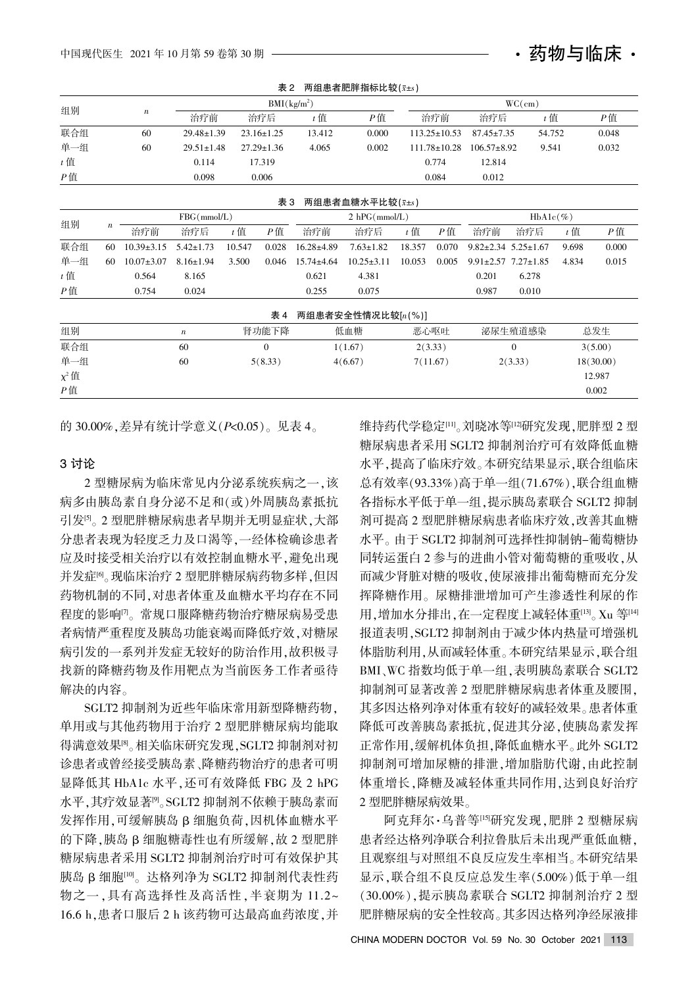| 组别         |                  | $\boldsymbol{n}$ | $BMI(kg/m^2)$    |                  |                  |               |                   |        | WC(cm)             |                                 |        |           |        |  |
|------------|------------------|------------------|------------------|------------------|------------------|---------------|-------------------|--------|--------------------|---------------------------------|--------|-----------|--------|--|
|            |                  |                  | 治疗前              |                  | 治疗后              | $t$ 值         | $P$ 值             |        | 治疗前                | 治疗后                             | $t$ 值  |           | $P$ 值  |  |
| 联合组        |                  | 60               | $29.48 \pm 1.39$ | $23.16 \pm 1.25$ |                  | 13.412        | 0.000             |        | $113.25 \pm 10.53$ | $87.45 \pm 7.35$                | 54.752 |           | 0.048  |  |
| 单一组        |                  | 60               | $29.51 \pm 1.48$ |                  | $27.29 \pm 1.36$ | 4.065         | 0.002             |        | $111.78 \pm 10.28$ | $106.57 \pm 8.92$               | 9.541  |           | 0.032  |  |
| $t$ 值      |                  |                  | 0.114            |                  | 17.319           |               |                   |        | 0.774              | 12.814                          |        |           |        |  |
| P值         |                  |                  | 0.098            |                  | 0.006            |               |                   |        | 0.084              | 0.012                           |        |           |        |  |
|            |                  |                  |                  |                  | 表 3              |               | 两组患者血糖水平比较(x+s)   |        |                    |                                 |        |           |        |  |
| 组别         |                  |                  | FBG(mmol/L)      |                  |                  | 2 hPG(mmol/L) |                   |        | $HbA1c(\%)$        |                                 |        |           |        |  |
|            | $\boldsymbol{n}$ | 治疗前              | 治疗后              | $t$ 值            | $P$ 值            | 治疗前           | 治疗后               | $t$ 值  | $P$ 值              | 治疗前                             | 治疗后    | $t$ 值     | $P$ 值  |  |
| 联合组        | 60               | $10.39 \pm 3.15$ | $5.42 \pm 1.73$  | 10.547           | 0.028            | 16.28±4.89    | $7.63 \pm 1.82$   | 18.357 | 0.070              | $9.82 \pm 2.34$ 5.25 $\pm 1.67$ |        | 9.698     | 0.000  |  |
| 单一组        | 60               | $10.07 \pm 3.07$ | $8.16 \pm 1.94$  | 3.500            | 0.046            | 15.74±4.64    | $10.25 \pm 3.11$  | 10.053 | 0.005              | $9.91 \pm 2.57$ 7.27 $\pm 1.85$ |        | 4.834     | 0.015  |  |
| $t$ 值      |                  | 0.564            | 8.165            |                  |                  | 0.621         | 4.381             |        |                    | 0.201                           | 6.278  |           |        |  |
| P值         |                  | 0.754            | 0.024            |                  |                  | 0.255         | 0.075             |        |                    | 0.987                           | 0.010  |           |        |  |
|            |                  |                  |                  |                  | 表 4              |               | 两组患者安全性情况比较[n(%)] |        |                    |                                 |        |           |        |  |
| 组别         |                  |                  | $\boldsymbol{n}$ | 肾功能下降            |                  | 低血糖           |                   | 恶心呕吐   |                    | 泌尿生殖道感染                         |        | 总发生       |        |  |
| 联合组        |                  |                  | 60               |                  | $\mathbf{0}$     |               | 1(1.67)           |        | 2(3.33)            | $\mathbf{0}$                    |        | 3(5.00)   |        |  |
| 单一组        |                  |                  | 60               |                  | 5(8.33)          |               | 4(6.67)           |        | 7(11.67)           | 2(3.33)                         |        | 18(30.00) |        |  |
| $\chi^2$ 值 |                  |                  |                  |                  |                  |               |                   |        |                    |                                 |        |           | 12.987 |  |
| $P$ 值      |                  |                  |                  |                  |                  |               |                   |        |                    |                                 |        |           | 0.002  |  |

表 2 两组串者肥胖指标比较(v+s)

的 30.00%, 差异有统计学意义 $(P< 0.05)$ 。见表 4。

#### 3 讨论

2 型糖尿病为临床常见内分泌系统疾病之一,该 病多由胰岛素自身分泌不足和(或)外周胰岛素抵抗 引发[5]。2 型肥胖糖尿病患者早期并无明显症状,大部 分患者表现为轻度乏力及口渴等, 一经体检确诊患者 应及时接受相关治疗以有效控制血糖水平,避免出现 并发症<sup>[6]</sup>。现临床治疗 2 型肥胖糖尿病药物多样,但因 药物机制的不同,对患者体重及血糖水平均存在不同 程度的影响<sup>[7]</sup>。常规口服降糖药物治疗糖尿病易受患 者病情严重程度及胰岛功能衰竭而降低疗效,对糖尿 病引发的一系列并发症无较好的防治作用,故积极寻 找新的降糖药物及作用靶点为当前医务工作者亟待 解决的内容。

SGLT2 抑制剂为近些年临床常用新型降糖药物, 单用或与其他药物用于治疗 2 型肥胖糖尿病均能取 得满意效果<sup>8</sup>。相关临床研究发现, SGLT2 抑制剂对初 诊患者或曾经接受胰岛素、降糖药物治疗的患者可明 显降低其 HbA1c 水平, 还可有效降低 FBG 及 2 hPG 水平,其疗效显著[9]。SGLT2 抑制剂不依赖于胰岛素而 发挥作用,可缓解胰岛 β 细胞负荷,因机体血糖水平 的下降,胰岛β细胞糖毒性也有所缓解,故2型肥胖 糖尿病患者采用 SGLT2 抑制剂治疗时可有效保护其 胰岛 β 细胞[10]。达格列净为 SGLT2 抑制剂代表性药 物之一,具有高选择性及高活性,半衰期为 11.2~ 16.6 h, 患者口服后 2 h 该药物可达最高血药浓度, 并

维持药代学稳定[11]。刘晓冰等[12]研究发现,肥胖型 2 型 糖尿病患者采用 SGLT2 抑制剂治疗可有效降低血糖 水平,提高了临床疗效。本研究结果显示,联合组临床 总有效率 $(93.33\%)$ 高于单一组 $(71.67\%)$ , 联合组血糖 各指标水平低于单一组,提示胰岛素联合 SGLT2 抑制 剂可提高 2 型肥胖糖尿病患者临床疗效,改善其血糖 水平。由于 SGLT2 抑制剂可选择性抑制钠-葡萄糖协 同转运蛋白 2 参与的进曲小管对葡萄糖的重吸收,从 而减少肾脏对糖的吸收,使尿液排出葡萄糖而充分发 挥降糖作用。尿糖排泄增加可产生渗透性利尿的作 用,增加水分排出,在一定程度上减轻体重[13]。Xu 等[14] 报道表明, SGLT2 抑制剂由于减少体内热量可增强机 体脂肪利用,从而减轻体重。本研究结果显示,联合组 BMI、WC 指数均低于单一组,表明胰岛素联合 SGLT2 抑制剂可显著改善 2 型肥胖糖尿病患者体重及腰围, 其多因达格列净对体重有较好的减轻效果。患者体重 降低可改善胰岛素抵抗,促进其分泌,使胰岛素发挥 正常作用,缓解机体负担,降低血糖水平。此外 SGLT2 抑制剂可增加尿糖的排泄,增加脂肪代谢,由此控制 体重增长,降糖及减轻体重共同作用,达到良好治疗 2 型肥胖糖尿病效果。

·药物与临床·

阿克拜尔·乌普等[15]研究发现,肥胖 2 型糖尿病 患者经达格列净联合利拉鲁肽后未出现严重低血糖, 且观察组与对照组不良反应发生率相当。本研究结果 显示,联合组不良反应总发生率(5.00%)低于单一组 (30.00%). 提示胰岛素联合 SGLT2 抑制剂治疗 2 型 肥胖糖尿病的安全性较高。其多因达格列净经尿液排